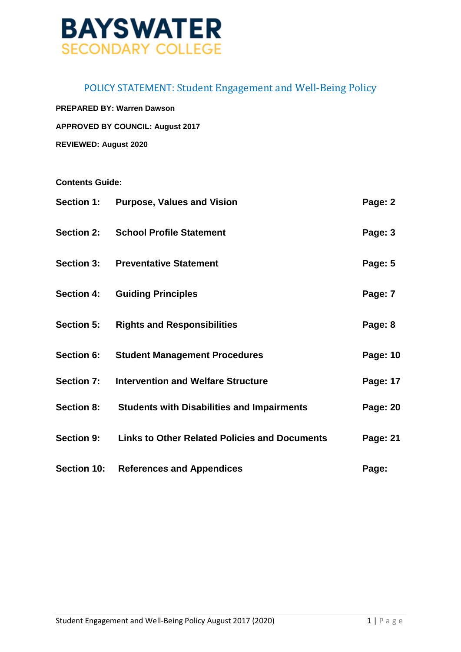

### POLICY STATEMENT: Student Engagement and Well-Being Policy

| <b>PREPARED BY: Warren Dawson</b>       |
|-----------------------------------------|
| <b>APPROVED BY COUNCIL: August 2017</b> |
| <b>REVIEWED: August 2020</b>            |

#### **Contents Guide:**

| <b>Section 1:</b>  | <b>Purpose, Values and Vision</b>                    | Page: 2         |
|--------------------|------------------------------------------------------|-----------------|
| <b>Section 2:</b>  | <b>School Profile Statement</b>                      | Page: 3         |
|                    | <b>Section 3: Preventative Statement</b>             | Page: 5         |
| <b>Section 4:</b>  | <b>Guiding Principles</b>                            | Page: 7         |
| <b>Section 5:</b>  | <b>Rights and Responsibilities</b>                   | Page: 8         |
| <b>Section 6:</b>  | <b>Student Management Procedures</b>                 | <b>Page: 10</b> |
| <b>Section 7:</b>  | <b>Intervention and Welfare Structure</b>            | <b>Page: 17</b> |
| <b>Section 8:</b>  | <b>Students with Disabilities and Impairments</b>    | <b>Page: 20</b> |
| <b>Section 9:</b>  | <b>Links to Other Related Policies and Documents</b> | <b>Page: 21</b> |
| <b>Section 10:</b> | <b>References and Appendices</b>                     | Page:           |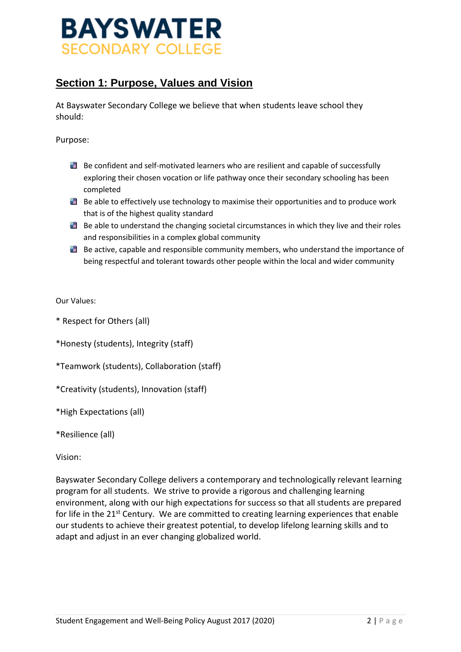

### **Section 1: Purpose, Values and Vision**

At Bayswater Secondary College we believe that when students leave school they should:

Purpose:

- Be confident and self-motivated learners who are resilient and capable of successfully exploring their chosen vocation or life pathway once their secondary schooling has been completed
- $\Box$  Be able to effectively use technology to maximise their opportunities and to produce work that is of the highest quality standard
- $\Box$  Be able to understand the changing societal circumstances in which they live and their roles and responsibilities in a complex global community
- $\blacksquare$  Be active, capable and responsible community members, who understand the importance of being respectful and tolerant towards other people within the local and wider community

Our Values:

\* Respect for Others (all)

\*Honesty (students), Integrity (staff)

\*Teamwork (students), Collaboration (staff)

\*Creativity (students), Innovation (staff)

\*High Expectations (all)

\*Resilience (all)

Vision:

Bayswater Secondary College delivers a contemporary and technologically relevant learning program for all students. We strive to provide a rigorous and challenging learning environment, along with our high expectations for success so that all students are prepared for life in the 21<sup>st</sup> Century. We are committed to creating learning experiences that enable our students to achieve their greatest potential, to develop lifelong learning skills and to adapt and adjust in an ever changing globalized world.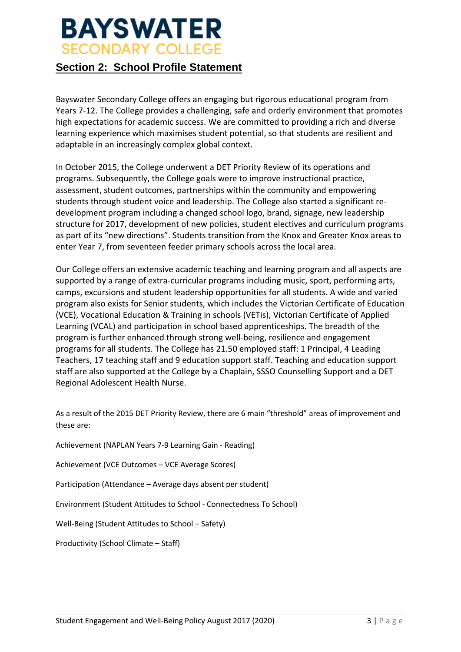### **Section 2: School Profile Statement**

Bayswater Secondary College offers an engaging but rigorous educational program from Years 7-12. The College provides a challenging, safe and orderly environment that promotes high expectations for academic success. We are committed to providing a rich and diverse learning experience which maximises student potential, so that students are resilient and adaptable in an increasingly complex global context.

In October 2015, the College underwent a DET Priority Review of its operations and programs. Subsequently, the College goals were to improve instructional practice, assessment, student outcomes, partnerships within the community and empowering students through student voice and leadership. The College also started a significant redevelopment program including a changed school logo, brand, signage, new leadership structure for 2017, development of new policies, student electives and curriculum programs as part of its "new directions". Students transition from the Knox and Greater Knox areas to enter Year 7, from seventeen feeder primary schools across the local area.

Our College offers an extensive academic teaching and learning program and all aspects are supported by a range of extra-curricular programs including music, sport, performing arts, camps, excursions and student leadership opportunities for all students. A wide and varied program also exists for Senior students, which includes the Victorian Certificate of Education (VCE), Vocational Education & Training in schools (VETis), Victorian Certificate of Applied Learning (VCAL) and participation in school based apprenticeships. The breadth of the program is further enhanced through strong well-being, resilience and engagement programs for all students. The College has 21.50 employed staff: 1 Principal, 4 Leading Teachers, 17 teaching staff and 9 education support staff. Teaching and education support staff are also supported at the College by a Chaplain, SSSO Counselling Support and a DET Regional Adolescent Health Nurse.

As a result of the 2015 DET Priority Review, there are 6 main "threshold" areas of improvement and these are:

Achievement (NAPLAN Years 7-9 Learning Gain - Reading)

Achievement (VCE Outcomes – VCE Average Scores)

Participation (Attendance – Average days absent per student)

Environment (Student Attitudes to School - Connectedness To School)

Well-Being (Student Attitudes to School – Safety)

Productivity (School Climate – Staff)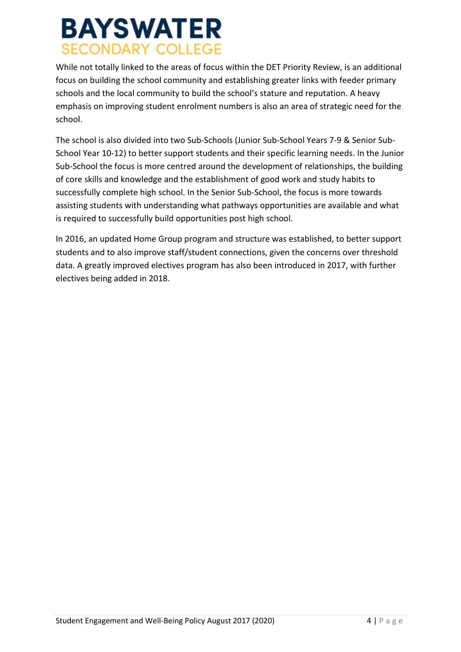While not totally linked to the areas of focus within the DET Priority Review, is an additional focus on building the school community and establishing greater links with feeder primary schools and the local community to build the school's stature and reputation. A heavy emphasis on improving student enrolment numbers is also an area of strategic need for the school.

The school is also divided into two Sub-Schools (Junior Sub-School Years 7-9 & Senior Sub-School Year 10-12) to better support students and their specific learning needs. In the Junior Sub-School the focus is more centred around the development of relationships, the building of core skills and knowledge and the establishment of good work and study habits to successfully complete high school. In the Senior Sub-School, the focus is more towards assisting students with understanding what pathways opportunities are available and what is required to successfully build opportunities post high school.

In 2016, an updated Home Group program and structure was established, to better support students and to also improve staff/student connections, given the concerns over threshold data. A greatly improved electives program has also been introduced in 2017, with further electives being added in 2018.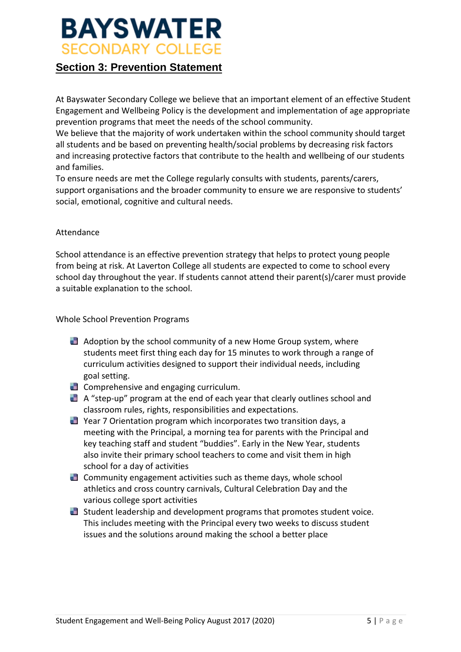### **Section 3: Prevention Statement**

At Bayswater Secondary College we believe that an important element of an effective Student Engagement and Wellbeing Policy is the development and implementation of age appropriate prevention programs that meet the needs of the school community.

We believe that the majority of work undertaken within the school community should target all students and be based on preventing health/social problems by decreasing risk factors and increasing protective factors that contribute to the health and wellbeing of our students and families.

To ensure needs are met the College regularly consults with students, parents/carers, support organisations and the broader community to ensure we are responsive to students' social, emotional, cognitive and cultural needs.

#### Attendance

School attendance is an effective prevention strategy that helps to protect young people from being at risk. At Laverton College all students are expected to come to school every school day throughout the year. If students cannot attend their parent(s)/carer must provide a suitable explanation to the school.

Whole School Prevention Programs

- $\Box$  Adoption by the school community of a new Home Group system, where students meet first thing each day for 15 minutes to work through a range of curriculum activities designed to support their individual needs, including goal setting.
- Comprehensive and engaging curriculum.
- A "step-up" program at the end of each year that clearly outlines school and classroom rules, rights, responsibilities and expectations.
- Year 7 Orientation program which incorporates two transition days, a meeting with the Principal, a morning tea for parents with the Principal and key teaching staff and student "buddies". Early in the New Year, students also invite their primary school teachers to come and visit them in high school for a day of activities
- **Community engagement activities such as theme days, whole school** athletics and cross country carnivals, Cultural Celebration Day and the various college sport activities
- Student leadership and development programs that promotes student voice. This includes meeting with the Principal every two weeks to discuss student issues and the solutions around making the school a better place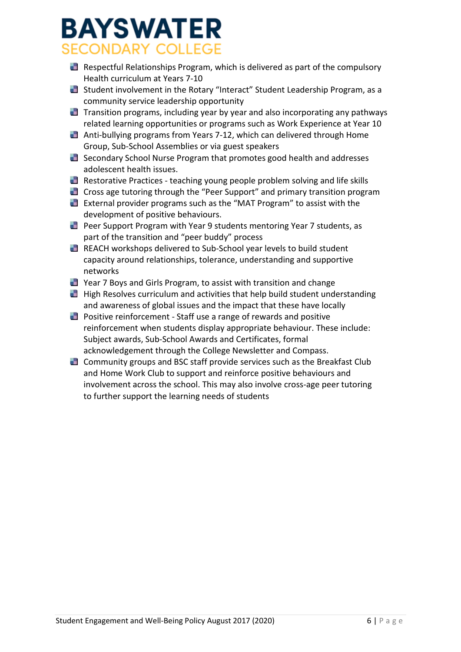- **Respectful Relationships Program, which is delivered as part of the compulsory** Health curriculum at Years 7-10
- **Student involvement in the Rotary "Interact" Student Leadership Program, as a** community service leadership opportunity
- **Transition programs, including year by year and also incorporating any pathways** related learning opportunities or programs such as Work Experience at Year 10
- Anti-bullying programs from Years 7-12, which can delivered through Home Group, Sub-School Assemblies or via guest speakers
- Secondary School Nurse Program that promotes good health and addresses adolescent health issues.
- **Restorative Practices teaching young people problem solving and life skills**
- **Cross age tutoring through the "Peer Support" and primary transition program**
- **External provider programs such as the "MAT Program" to assist with the** development of positive behaviours.
- **Peer Support Program with Year 9 students mentoring Year 7 students, as** part of the transition and "peer buddy" process
- **REACH workshops delivered to Sub-School year levels to build student** capacity around relationships, tolerance, understanding and supportive networks
- **Parma** Year 7 Boys and Girls Program, to assist with transition and change
- **High Resolves curriculum and activities that help build student understanding** and awareness of global issues and the impact that these have locally
- **Positive reinforcement Staff use a range of rewards and positive** reinforcement when students display appropriate behaviour. These include: Subject awards, Sub-School Awards and Certificates, formal acknowledgement through the College Newsletter and Compass.
- Community groups and BSC staff provide services such as the Breakfast Club and Home Work Club to support and reinforce positive behaviours and involvement across the school. This may also involve cross-age peer tutoring to further support the learning needs of students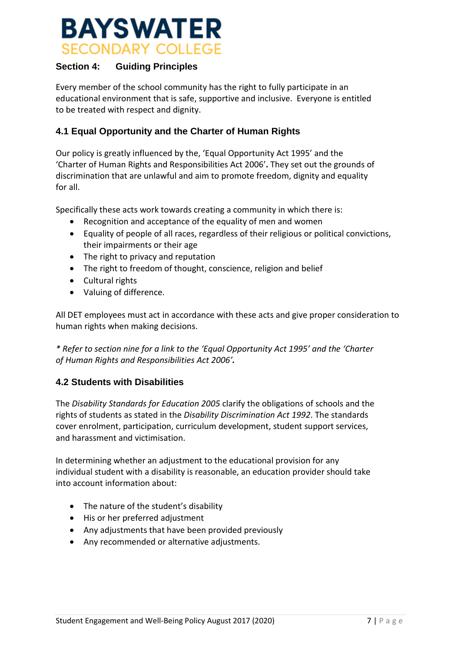

#### **Section 4: Guiding Principles**

Every member of the school community has the right to fully participate in an educational environment that is safe, supportive and inclusive. Everyone is entitled to be treated with respect and dignity.

#### **4.1 Equal Opportunity and the Charter of Human Rights**

Our policy is greatly influenced by the, 'Equal Opportunity Act 1995' and the 'Charter of Human Rights and Responsibilities Act 2006'**.** They set out the grounds of discrimination that are unlawful and aim to promote freedom, dignity and equality for all.

Specifically these acts work towards creating a community in which there is:

- Recognition and acceptance of the equality of men and women
- Equality of people of all races, regardless of their religious or political convictions, their impairments or their age
- The right to privacy and reputation
- The right to freedom of thought, conscience, religion and belief
- Cultural rights
- Valuing of difference.

All DET employees must act in accordance with these acts and give proper consideration to human rights when making decisions.

*\* Refer to section nine for a link to the 'Equal Opportunity Act 1995' and the 'Charter of Human Rights and Responsibilities Act 2006'.* 

#### **4.2 Students with Disabilities**

The *Disability Standards for Education 2005* clarify the obligations of schools and the rights of students as stated in the *Disability Discrimination Act 1992*. The standards cover enrolment, participation, curriculum development, student support services, and harassment and victimisation.

In determining whether an adjustment to the educational provision for any individual student with a disability is reasonable, an education provider should take into account information about:

- The nature of the student's disability
- His or her preferred adjustment
- Any adjustments that have been provided previously
- Any recommended or alternative adjustments.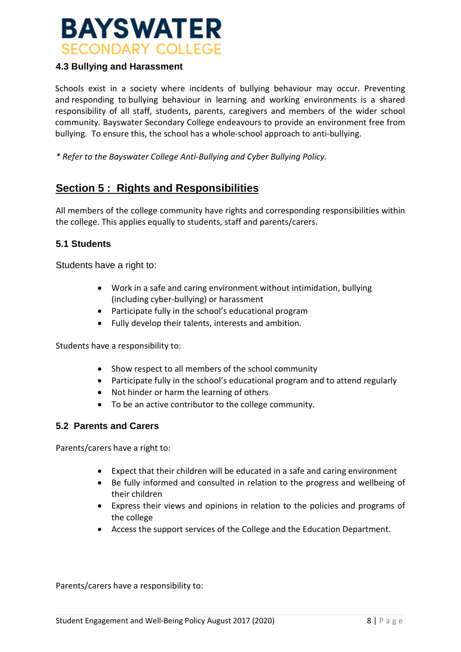

#### **4.3 Bullying and Harassment**

Schools exist in a society where incidents of bullying behaviour may occur. Preventing and responding to bullying behaviour in learning and working environments is a shared responsibility of all staff, students, parents, caregivers and members of the wider school community. Bayswater Secondary College endeavours to provide an environment free from bullying. To ensure this, the school has a whole-school approach to anti-bullying.

*\* Refer to the Bayswater College Anti-Bullying and Cyber Bullying Policy.*

### **Section 5 : Rights and Responsibilities**

All members of the college community have rights and corresponding responsibilities within the college. This applies equally to students, staff and parents/carers.

#### **5.1 Students**

Students have a right to:

- Work in a safe and caring environment without intimidation, bullying (including cyber-bullying) or harassment
- Participate fully in the school's educational program
- Fully develop their talents, interests and ambition.

Students have a responsibility to:

- Show respect to all members of the school community
- Participate fully in the school's educational program and to attend regularly
- Not hinder or harm the learning of others
- To be an active contributor to the college community.

#### **5.2 Parents and Carers**

Parents/carers have a right to:

- Expect that their children will be educated in a safe and caring environment
- Be fully informed and consulted in relation to the progress and wellbeing of their children
- Express their views and opinions in relation to the policies and programs of the college
- Access the support services of the College and the Education Department.

Parents/carers have a responsibility to: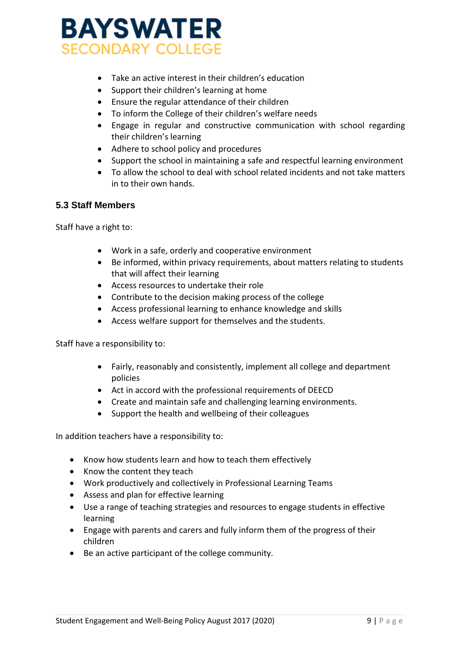

- Take an active interest in their children's education
- Support their children's learning at home
- Ensure the regular attendance of their children
- To inform the College of their children's welfare needs
- Engage in regular and constructive communication with school regarding their children's learning
- Adhere to school policy and procedures
- Support the school in maintaining a safe and respectful learning environment
- To allow the school to deal with school related incidents and not take matters in to their own hands.

#### **5.3 Staff Members**

Staff have a right to:

- Work in a safe, orderly and cooperative environment
- Be informed, within privacy requirements, about matters relating to students that will affect their learning
- Access resources to undertake their role
- Contribute to the decision making process of the college
- Access professional learning to enhance knowledge and skills
- Access welfare support for themselves and the students.

Staff have a responsibility to:

- Fairly, reasonably and consistently, implement all college and department policies
- Act in accord with the professional requirements of DEECD
- Create and maintain safe and challenging learning environments.
- Support the health and wellbeing of their colleagues

In addition teachers have a responsibility to:

- Know how students learn and how to teach them effectively
- Know the content they teach
- Work productively and collectively in Professional Learning Teams
- Assess and plan for effective learning
- Use a range of teaching strategies and resources to engage students in effective learning
- Engage with parents and carers and fully inform them of the progress of their children
- Be an active participant of the college community.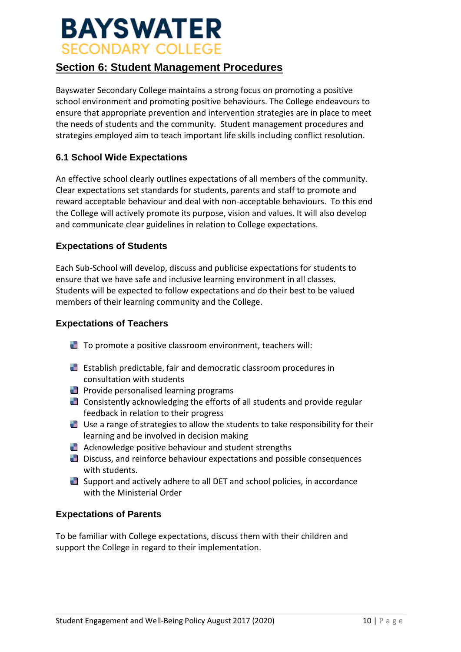### **Section 6: Student Management Procedures**

Bayswater Secondary College maintains a strong focus on promoting a positive school environment and promoting positive behaviours. The College endeavours to ensure that appropriate prevention and intervention strategies are in place to meet the needs of students and the community. Student management procedures and strategies employed aim to teach important life skills including conflict resolution.

#### **6.1 School Wide Expectations**

An effective school clearly outlines expectations of all members of the community. Clear expectations set standards for students, parents and staff to promote and reward acceptable behaviour and deal with non-acceptable behaviours. To this end the College will actively promote its purpose, vision and values. It will also develop and communicate clear guidelines in relation to College expectations.

#### **Expectations of Students**

Each Sub-School will develop, discuss and publicise expectations for students to ensure that we have safe and inclusive learning environment in all classes. Students will be expected to follow expectations and do their best to be valued members of their learning community and the College.

#### **Expectations of Teachers**

- $\Box$  To promote a positive classroom environment, teachers will:
- **Establish predictable, fair and democratic classroom procedures in** consultation with students
- **Provide personalised learning programs**
- Consistently acknowledging the efforts of all students and provide regular feedback in relation to their progress
- Use a range of strategies to allow the students to take responsibility for their learning and be involved in decision making
- $\blacksquare$  Acknowledge positive behaviour and student strengths
- Discuss, and reinforce behaviour expectations and possible consequences with students.
- Support and actively adhere to all DET and school policies, in accordance with the Ministerial Order

#### **Expectations of Parents**

To be familiar with College expectations, discuss them with their children and support the College in regard to their implementation.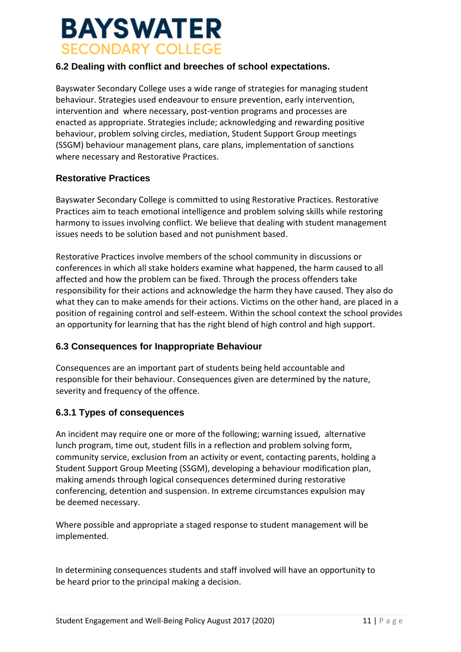

#### **6.2 Dealing with conflict and breeches of school expectations.**

Bayswater Secondary College uses a wide range of strategies for managing student behaviour. Strategies used endeavour to ensure prevention, early intervention, intervention and where necessary, post-vention programs and processes are enacted as appropriate. Strategies include; acknowledging and rewarding positive behaviour, problem solving circles, mediation, Student Support Group meetings (SSGM) behaviour management plans, care plans, implementation of sanctions where necessary and Restorative Practices.

#### **Restorative Practices**

Bayswater Secondary College is committed to using Restorative Practices. Restorative Practices aim to teach emotional intelligence and problem solving skills while restoring harmony to issues involving conflict. We believe that dealing with student management issues needs to be solution based and not punishment based.

Restorative Practices involve members of the school community in discussions or conferences in which all stake holders examine what happened, the harm caused to all affected and how the problem can be fixed. Through the process offenders take responsibility for their actions and acknowledge the harm they have caused. They also do what they can to make amends for their actions. Victims on the other hand, are placed in a position of regaining control and self-esteem. Within the school context the school provides an opportunity for learning that has the right blend of high control and high support.

#### **6.3 Consequences for Inappropriate Behaviour**

Consequences are an important part of students being held accountable and responsible for their behaviour. Consequences given are determined by the nature, severity and frequency of the offence.

#### **6.3.1 Types of consequences**

An incident may require one or more of the following; warning issued, alternative lunch program, time out, student fills in a reflection and problem solving form, community service, exclusion from an activity or event, contacting parents, holding a Student Support Group Meeting (SSGM), developing a behaviour modification plan, making amends through logical consequences determined during restorative conferencing, detention and suspension. In extreme circumstances expulsion may be deemed necessary.

Where possible and appropriate a staged response to student management will be implemented.

In determining consequences students and staff involved will have an opportunity to be heard prior to the principal making a decision.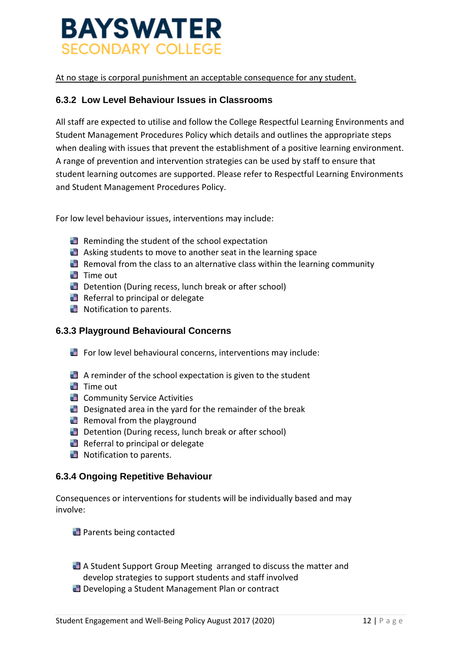

At no stage is corporal punishment an acceptable consequence for any student.

#### **6.3.2 Low Level Behaviour Issues in Classrooms**

All staff are expected to utilise and follow the College Respectful Learning Environments and Student Management Procedures Policy which details and outlines the appropriate steps when dealing with issues that prevent the establishment of a positive learning environment. A range of prevention and intervention strategies can be used by staff to ensure that student learning outcomes are supported. Please refer to Respectful Learning Environments and Student Management Procedures Policy.

For low level behaviour issues, interventions may include:

- $\blacksquare$  Reminding the student of the school expectation
- Asking students to move to another seat in the learning space
- $\blacksquare$  Removal from the class to an alternative class within the learning community
- **Time out**
- Detention (During recess, lunch break or after school)
- $\blacksquare$  Referral to principal or delegate
- Notification to parents.

#### **6.3.3 Playground Behavioural Concerns**

- $\Box$  For low level behavioural concerns, interventions may include:
- $\blacksquare$  A reminder of the school expectation is given to the student
- **Time out**
- **Community Service Activities**
- Designated area in the yard for the remainder of the break
- **Removal from the playground**
- Detention (During recess, lunch break or after school)
- $\blacksquare$  Referral to principal or delegate
- Notification to parents.

#### **6.3.4 Ongoing Repetitive Behaviour**

Consequences or interventions for students will be individually based and may involve:

**Parents being contacted** 

- A Student Support Group Meeting arranged to discuss the matter and develop strategies to support students and staff involved
- Developing a Student Management Plan or contract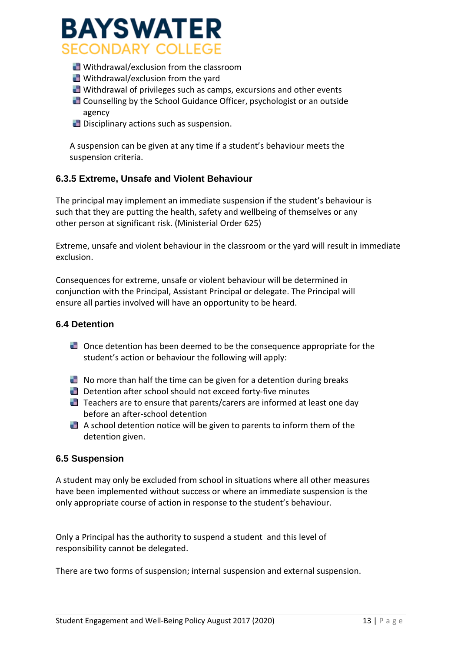- **N** Withdrawal/exclusion from the classroom
- **N** Withdrawal/exclusion from the yard
- Withdrawal of privileges such as camps, excursions and other events
- **L** Counselling by the School Guidance Officer, psychologist or an outside agency
- **Disciplinary actions such as suspension.**

A suspension can be given at any time if a student's behaviour meets the suspension criteria.

#### **6.3.5 Extreme, Unsafe and Violent Behaviour**

The principal may implement an immediate suspension if the student's behaviour is such that they are putting the health, safety and wellbeing of themselves or any other person at significant risk. (Ministerial Order 625)

Extreme, unsafe and violent behaviour in the classroom or the yard will result in immediate exclusion.

Consequences for extreme, unsafe or violent behaviour will be determined in conjunction with the Principal, Assistant Principal or delegate. The Principal will ensure all parties involved will have an opportunity to be heard.

#### **6.4 Detention**

- Once detention has been deemed to be the consequence appropriate for the student's action or behaviour the following will apply:
- $\Box$  No more than half the time can be given for a detention during breaks
- Detention after school should not exceed forty-five minutes
- $\Box$  Teachers are to ensure that parents/carers are informed at least one day before an after-school detention
- $\Box$  A school detention notice will be given to parents to inform them of the detention given.

#### **6.5 Suspension**

A student may only be excluded from school in situations where all other measures have been implemented without success or where an immediate suspension is the only appropriate course of action in response to the student's behaviour.

Only a Principal has the authority to suspend a student and this level of responsibility cannot be delegated.

There are two forms of suspension; internal suspension and external suspension.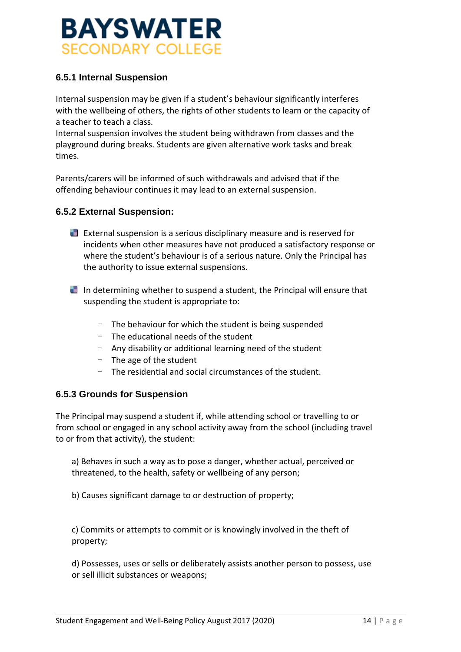

#### **6.5.1 Internal Suspension**

Internal suspension may be given if a student's behaviour significantly interferes with the wellbeing of others, the rights of other students to learn or the capacity of a teacher to teach a class.

Internal suspension involves the student being withdrawn from classes and the playground during breaks. Students are given alternative work tasks and break times.

Parents/carers will be informed of such withdrawals and advised that if the offending behaviour continues it may lead to an external suspension.

#### **6.5.2 External Suspension:**

- External suspension is a serious disciplinary measure and is reserved for incidents when other measures have not produced a satisfactory response or where the student's behaviour is of a serious nature. Only the Principal has the authority to issue external suspensions.
- In determining whether to suspend a student, the Principal will ensure that suspending the student is appropriate to:
	- $-$  The behaviour for which the student is being suspended
	- $-$  The educational needs of the student
	- $-$  Any disability or additional learning need of the student
	- $-$  The age of the student
	- The residential and social circumstances of the student.

#### **6.5.3 Grounds for Suspension**

The Principal may suspend a student if, while attending school or travelling to or from school or engaged in any school activity away from the school (including travel to or from that activity), the student:

a) Behaves in such a way as to pose a danger, whether actual, perceived or threatened, to the health, safety or wellbeing of any person;

b) Causes significant damage to or destruction of property;

c) Commits or attempts to commit or is knowingly involved in the theft of property;

d) Possesses, uses or sells or deliberately assists another person to possess, use or sell illicit substances or weapons;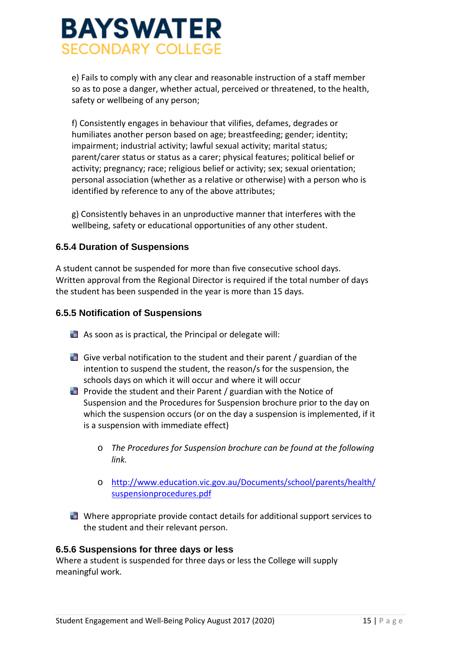

e) Fails to comply with any clear and reasonable instruction of a staff member so as to pose a danger, whether actual, perceived or threatened, to the health, safety or wellbeing of any person;

f) Consistently engages in behaviour that vilifies, defames, degrades or humiliates another person based on age; breastfeeding; gender; identity; impairment; industrial activity; lawful sexual activity; marital status; parent/carer status or status as a carer; physical features; political belief or activity; pregnancy; race; religious belief or activity; sex; sexual orientation; personal association (whether as a relative or otherwise) with a person who is identified by reference to any of the above attributes;

g) Consistently behaves in an unproductive manner that interferes with the wellbeing, safety or educational opportunities of any other student.

#### **6.5.4 Duration of Suspensions**

A student cannot be suspended for more than five consecutive school days. Written approval from the Regional Director is required if the total number of days the student has been suspended in the year is more than 15 days.

#### **6.5.5 Notification of Suspensions**

- $\Box$  As soon as is practical, the Principal or delegate will:
- Give verbal notification to the student and their parent / guardian of the intention to suspend the student, the reason/s for the suspension, the schools days on which it will occur and where it will occur
- **Provide the student and their Parent / guardian with the Notice of** Suspension and the Procedures for Suspension brochure prior to the day on which the suspension occurs (or on the day a suspension is implemented, if it is a suspension with immediate effect)
	- o *The Procedures for Suspension brochure can be found at the following link.*
	- o [http://www.education.vic.gov.au/Documents/school/parents/health/](http://www.education.vic.gov.au/Documents/school/parents/health/suspensionprocedures.pdf) [suspensionprocedures.pdf](http://www.education.vic.gov.au/Documents/school/parents/health/suspensionprocedures.pdf)
- Where appropriate provide contact details for additional support services to the student and their relevant person.

#### **6.5.6 Suspensions for three days or less**

Where a student is suspended for three days or less the College will supply meaningful work.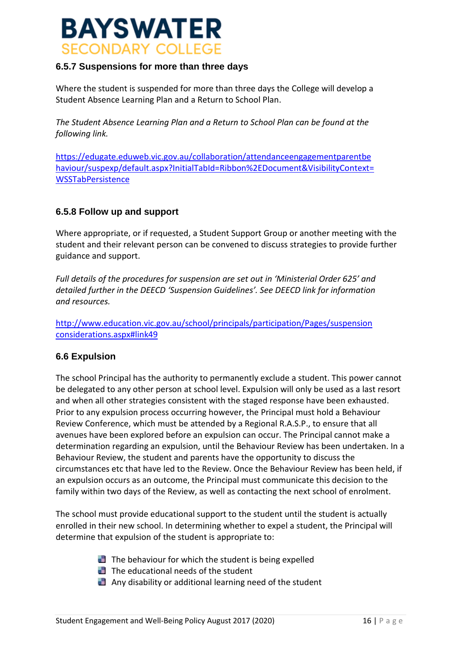

#### **6.5.7 Suspensions for more than three days**

Where the student is suspended for more than three days the College will develop a Student Absence Learning Plan and a Return to School Plan.

*The Student Absence Learning Plan and a Return to School Plan can be found at the following link.*

[https://edugate.eduweb.vic.gov.au/collaboration/attendanceengagementparentbe](https://edugate.eduweb.vic.gov.au/collaboration/attendanceengagementparentbehaviour/suspexp/default.aspx?InitialTabId=Ribbon%2EDocument&VisibilityContext=WSSTabPersistence) [haviour/suspexp/default.aspx?InitialTabId=Ribbon%2EDocument&VisibilityContext=](https://edugate.eduweb.vic.gov.au/collaboration/attendanceengagementparentbehaviour/suspexp/default.aspx?InitialTabId=Ribbon%2EDocument&VisibilityContext=WSSTabPersistence) **[WSSTabPersistence](https://edugate.eduweb.vic.gov.au/collaboration/attendanceengagementparentbehaviour/suspexp/default.aspx?InitialTabId=Ribbon%2EDocument&VisibilityContext=WSSTabPersistence)** 

#### **6.5.8 Follow up and support**

Where appropriate, or if requested, a Student Support Group or another meeting with the student and their relevant person can be convened to discuss strategies to provide further guidance and support.

*Full details of the procedures for suspension are set out in 'Ministerial Order 625' and detailed further in the DEECD 'Suspension Guidelines'. See DEECD link for information and resources.* 

[http://www.education.vic.gov.au/school/principals/participation/Pages/suspension](http://www.education.vic.gov.au/school/principals/participation/Pages/suspensionconsiderations.aspx#link49) [considerations.aspx#link49](http://www.education.vic.gov.au/school/principals/participation/Pages/suspensionconsiderations.aspx#link49)

#### **6.6 Expulsion**

The school Principal has the authority to permanently exclude a student. This power cannot be delegated to any other person at school level. Expulsion will only be used as a last resort and when all other strategies consistent with the staged response have been exhausted. Prior to any expulsion process occurring however, the Principal must hold a Behaviour Review Conference, which must be attended by a Regional R.A.S.P., to ensure that all avenues have been explored before an expulsion can occur. The Principal cannot make a determination regarding an expulsion, until the Behaviour Review has been undertaken. In a Behaviour Review, the student and parents have the opportunity to discuss the circumstances etc that have led to the Review. Once the Behaviour Review has been held, if an expulsion occurs as an outcome, the Principal must communicate this decision to the family within two days of the Review, as well as contacting the next school of enrolment.

The school must provide educational support to the student until the student is actually enrolled in their new school. In determining whether to expel a student, the Principal will determine that expulsion of the student is appropriate to:

- The behaviour for which the student is being expelled
- $\blacksquare$  The educational needs of the student
- $\blacksquare$  Any disability or additional learning need of the student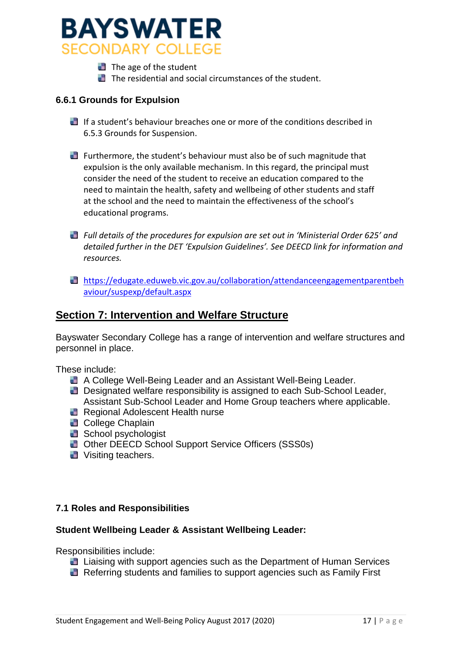

- $\blacksquare$  The age of the student
- $\blacksquare$  The residential and social circumstances of the student.

#### **6.6.1 Grounds for Expulsion**

- If a student's behaviour breaches one or more of the conditions described in 6.5.3 Grounds for Suspension.
- **Furthermore, the student's behaviour must also be of such magnitude that** expulsion is the only available mechanism. In this regard, the principal must consider the need of the student to receive an education compared to the need to maintain the health, safety and wellbeing of other students and staff at the school and the need to maintain the effectiveness of the school's educational programs.
- *Full details of the procedures for expulsion are set out in 'Ministerial Order 625' and detailed further in the DET 'Expulsion Guidelines'. See DEECD link for information and resources.*
- [https://edugate.eduweb.vic.gov.au/collaboration/attendanceengagementparentbeh](https://edugate.eduweb.vic.gov.au/collaboration/attendanceengagementparentbehaviour/suspexp/default.aspx) [aviour/suspexp/default.aspx](https://edugate.eduweb.vic.gov.au/collaboration/attendanceengagementparentbehaviour/suspexp/default.aspx)

#### **Section 7: Intervention and Welfare Structure**

Bayswater Secondary College has a range of intervention and welfare structures and personnel in place.

These include:

- **A College Well-Being Leader and an Assistant Well-Being Leader.**
- **Designated welfare responsibility is assigned to each Sub-School Leader,** Assistant Sub-School Leader and Home Group teachers where applicable.
- **Regional Adolescent Health nurse**
- College Chaplain
- School psychologist
- **D** Other DEECD School Support Service Officers (SSS0s)
- Visiting teachers.

#### **7.1 Roles and Responsibilities**

#### **Student Wellbeing Leader & Assistant Wellbeing Leader:**

Responsibilities include:

- **L** Liaising with support agencies such as the Department of Human Services
- Referring students and families to support agencies such as Family First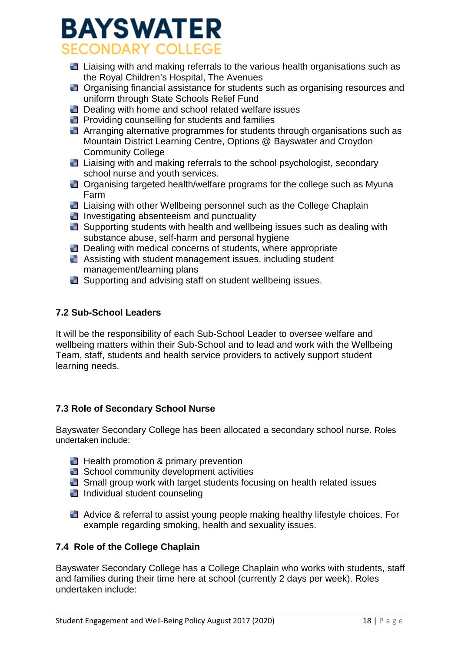- Liaising with and making referrals to the various health organisations such as the Royal Children's Hospital, The Avenues
- **D** Organising financial assistance for students such as organising resources and uniform through State Schools Relief Fund
- Dealing with home and school related welfare issues
- **Providing counselling for students and families**
- Arranging alternative programmes for students through organisations such as Mountain District Learning Centre, Options @ Bayswater and Croydon Community College
- Liaising with and making referrals to the school psychologist, secondary school nurse and youth services.
- **D** Organising targeted health/welfare programs for the college such as Myuna Farm
- **L** Liaising with other Wellbeing personnel such as the College Chaplain
- **I** Investigating absenteeism and punctuality
- **B** Supporting students with health and wellbeing issues such as dealing with substance abuse, self-harm and personal hygiene
- Dealing with medical concerns of students, where appropriate
- Assisting with student management issues, including student management/learning plans
- **B** Supporting and advising staff on student wellbeing issues.

#### **7.2 Sub-School Leaders**

It will be the responsibility of each Sub-School Leader to oversee welfare and wellbeing matters within their Sub-School and to lead and work with the Wellbeing Team, staff, students and health service providers to actively support student learning needs.

#### **7.3 Role of Secondary School Nurse**

Bayswater Secondary College has been allocated a secondary school nurse. Roles undertaken include:

- **Health promotion & primary prevention**
- School community development activities
- **B** Small group work with target students focusing on health related issues
- **I** Individual student counseling
- Advice & referral to assist young people making healthy lifestyle choices. For example regarding smoking, health and sexuality issues.

#### **7.4 Role of the College Chaplain**

Bayswater Secondary College has a College Chaplain who works with students, staff and families during their time here at school (currently 2 days per week). Roles undertaken include: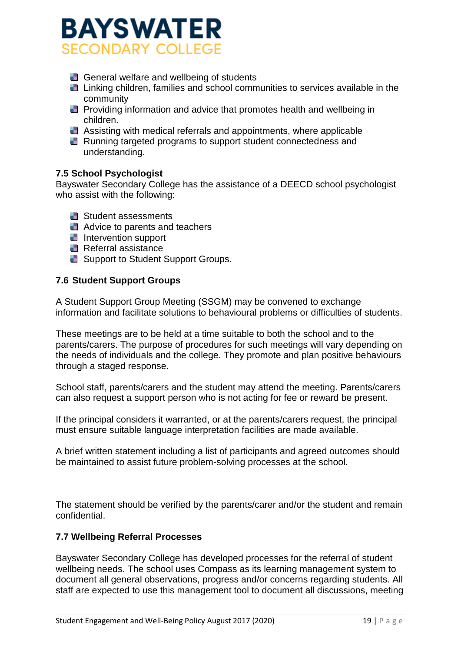- General welfare and wellbeing of students
- **Linking children, families and school communities to services available in the** community
- **Providing information and advice that promotes health and wellbeing in** children.
- Assisting with medical referrals and appointments, where applicable
- **Running targeted programs to support student connectedness and** understanding.

#### **7.5 School Psychologist**

Bayswater Secondary College has the assistance of a DEECD school psychologist who assist with the following:

- Student assessments
- **A** Advice to parents and teachers
- **Intervention support**
- **Referral assistance**
- Support to Student Support Groups.

#### **7.6 Student Support Groups**

A Student Support Group Meeting (SSGM) may be convened to exchange information and facilitate solutions to behavioural problems or difficulties of students.

These meetings are to be held at a time suitable to both the school and to the parents/carers. The purpose of procedures for such meetings will vary depending on the needs of individuals and the college. They promote and plan positive behaviours through a staged response.

School staff, parents/carers and the student may attend the meeting. Parents/carers can also request a support person who is not acting for fee or reward be present.

If the principal considers it warranted, or at the parents/carers request, the principal must ensure suitable language interpretation facilities are made available.

A brief written statement including a list of participants and agreed outcomes should be maintained to assist future problem-solving processes at the school.

The statement should be verified by the parents/carer and/or the student and remain confidential.

#### **7.7 Wellbeing Referral Processes**

Bayswater Secondary College has developed processes for the referral of student wellbeing needs. The school uses Compass as its learning management system to document all general observations, progress and/or concerns regarding students. All staff are expected to use this management tool to document all discussions, meeting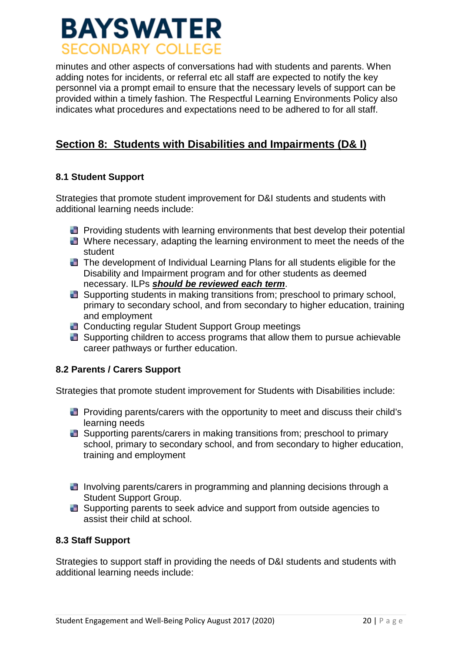minutes and other aspects of conversations had with students and parents. When adding notes for incidents, or referral etc all staff are expected to notify the key personnel via a prompt email to ensure that the necessary levels of support can be provided within a timely fashion. The Respectful Learning Environments Policy also indicates what procedures and expectations need to be adhered to for all staff.

### **Section 8: Students with Disabilities and Impairments (D& I)**

#### **8.1 Student Support**

Strategies that promote student improvement for D&I students and students with additional learning needs include:

- **Providing students with learning environments that best develop their potential**
- **L** Where necessary, adapting the learning environment to meet the needs of the student
- **The development of Individual Learning Plans for all students eligible for the** Disability and Impairment program and for other students as deemed necessary. ILPs *should be reviewed each term*.
- Supporting students in making transitions from; preschool to primary school, primary to secondary school, and from secondary to higher education, training and employment
- **Conducting regular Student Support Group meetings**
- Supporting children to access programs that allow them to pursue achievable career pathways or further education.

#### **8.2 Parents / Carers Support**

Strategies that promote student improvement for Students with Disabilities include:

- **Providing parents/carers with the opportunity to meet and discuss their child's** learning needs
- **B** Supporting parents/carers in making transitions from; preschool to primary school, primary to secondary school, and from secondary to higher education, training and employment
- **I** Involving parents/carers in programming and planning decisions through a Student Support Group.
- Supporting parents to seek advice and support from outside agencies to assist their child at school.

#### **8.3 Staff Support**

Strategies to support staff in providing the needs of D&I students and students with additional learning needs include: